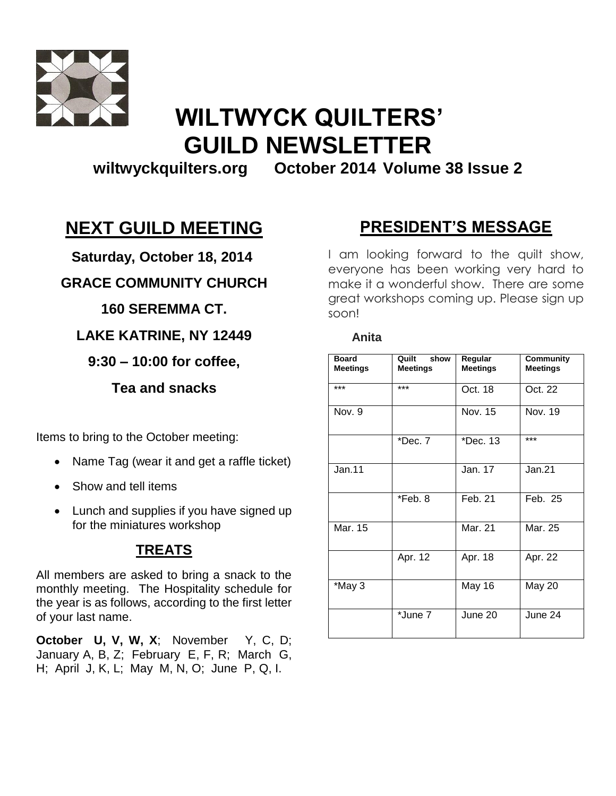

# **WILTWYCK QUILTERS' GUILD NEWSLETTER**

**wiltwyckquilters.org October 2014 Volume 38 Issue 2**

 **Anita**

## **NEXT GUILD MEETING**

 **Saturday, October 18, 2014**

### **GRACE COMMUNITY CHURCH**

### **160 SEREMMA CT.**

**LAKE KATRINE, NY 12449**

### **9:30 – 10:00 for coffee,**

**Tea and snacks**

Items to bring to the October meeting:

- Name Tag (wear it and get a raffle ticket)
- Show and tell items
- Lunch and supplies if you have signed up for the miniatures workshop

### **TREATS**

All members are asked to bring a snack to the monthly meeting. The Hospitality schedule for the year is as follows, according to the first letter of your last name.

**October U, V, W, X**; November Y, C, D; January A, B, Z; February E, F, R; March G, H; April J, K, L; May M, N, O; June P, Q, I.

## **PRESIDENT'S MESSAGE**

I am looking forward to the quilt show, everyone has been working very hard to make it a wonderful show. There are some great workshops coming up. Please sign up soon!

| <b>Board</b><br><b>Meetings</b> | Quilt<br>show<br><b>Meetings</b> | Regular<br><b>Meetings</b> | Community<br><b>Meetings</b> |
|---------------------------------|----------------------------------|----------------------------|------------------------------|
| ***                             | ***                              | Oct. 18                    | Oct. 22                      |
| Nov. 9                          |                                  | Nov. 15                    | Nov. 19                      |
|                                 | *Dec. 7                          | *Dec. 13                   | ***                          |
| Jan.11                          |                                  | Jan. 17                    | Jan.21                       |
|                                 | *Feb. 8                          | Feb. 21                    | Feb. 25                      |
| Mar. 15                         |                                  | Mar. 21                    | Mar. 25                      |
|                                 | Apr. 12                          | Apr. 18                    | Apr. 22                      |
| *May 3                          |                                  | May 16                     | May 20                       |
|                                 | *June 7                          | June 20                    | June 24                      |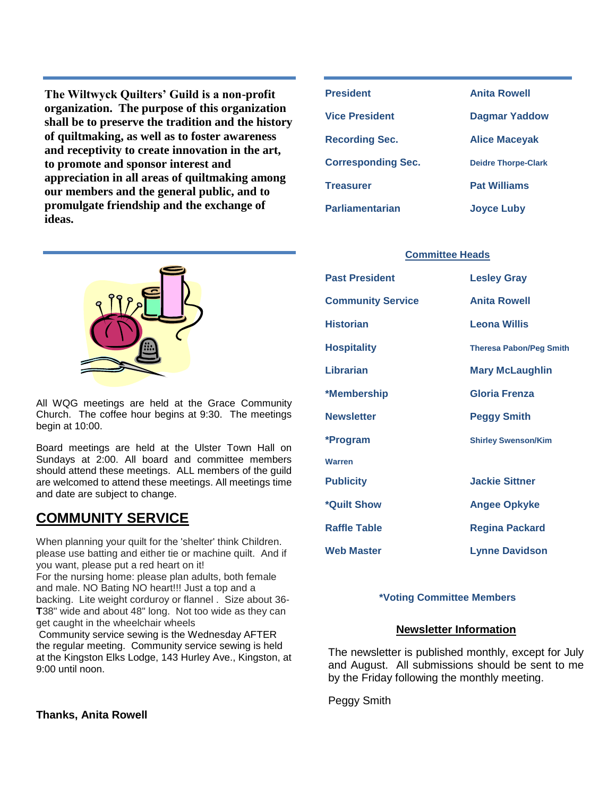**The Wiltwyck Quilters' Guild is a non-profit organization. The purpose of this organization shall be to preserve the tradition and the history of quiltmaking, as well as to foster awareness and receptivity to create innovation in the art, to promote and sponsor interest and appreciation in all areas of quiltmaking among our members and the general public, and to promulgate friendship and the exchange of ideas.**



All WQG meetings are held at the Grace Community Church. The coffee hour begins at 9:30. The meetings begin at 10:00.

Board meetings are held at the Ulster Town Hall on Sundays at 2:00. All board and committee members should attend these meetings. ALL members of the guild are welcomed to attend these meetings. All meetings time and date are subject to change.

### **COMMUNITY SERVICE**

When planning your quilt for the 'shelter' think Children. please use batting and either tie or machine quilt. And if you want, please put a red heart on it! For the nursing home: please plan adults, both female and male. NO Bating NO heart!!! Just a top and a backing. Lite weight corduroy or flannel . Size about 36- **T**38" wide and about 48" long. Not too wide as they can

get caught in the wheelchair wheels Community service sewing is the Wednesday AFTER

the regular meeting. Community service sewing is held at the Kingston Elks Lodge, 143 Hurley Ave., Kingston, at 9:00 until noon.

#### **Thanks, Anita Rowell**

| <b>President</b>          | <b>Anita Rowell</b>        |  |
|---------------------------|----------------------------|--|
| Vice President            | <b>Dagmar Yaddow</b>       |  |
| <b>Recording Sec.</b>     | <b>Alice Macevak</b>       |  |
| <b>Corresponding Sec.</b> | <b>Deidre Thorpe-Clark</b> |  |
| <b>Treasurer</b>          | <b>Pat Williams</b>        |  |
| <b>Parliamentarian</b>    | <b>Joyce Luby</b>          |  |

#### **Committee Heads**

| <b>Past President</b>    | <b>Lesley Gray</b>             |
|--------------------------|--------------------------------|
| <b>Community Service</b> | <b>Anita Rowell</b>            |
| <b>Historian</b>         | <b>Leona Willis</b>            |
| <b>Hospitality</b>       | <b>Theresa Pabon/Peg Smith</b> |
| Librarian                | <b>Mary McLaughlin</b>         |
| *Membership              | Gloria Frenza                  |
| <b>Newsletter</b>        | <b>Peggy Smith</b>             |
| *Program                 | <b>Shirley Swenson/Kim</b>     |
| <b>Warren</b>            |                                |
| <b>Publicity</b>         | <b>Jackie Sittner</b>          |
| *Quilt Show              | <b>Angee Opkyke</b>            |
| <b>Raffle Table</b>      | <b>Regina Packard</b>          |
| <b>Web Master</b>        | <b>Lynne Davidson</b>          |

#### **\*Voting Committee Members**

#### **Newsletter Information**

The newsletter is published monthly, except for July and August. All submissions should be sent to me by the Friday following the monthly meeting.

Peggy Smith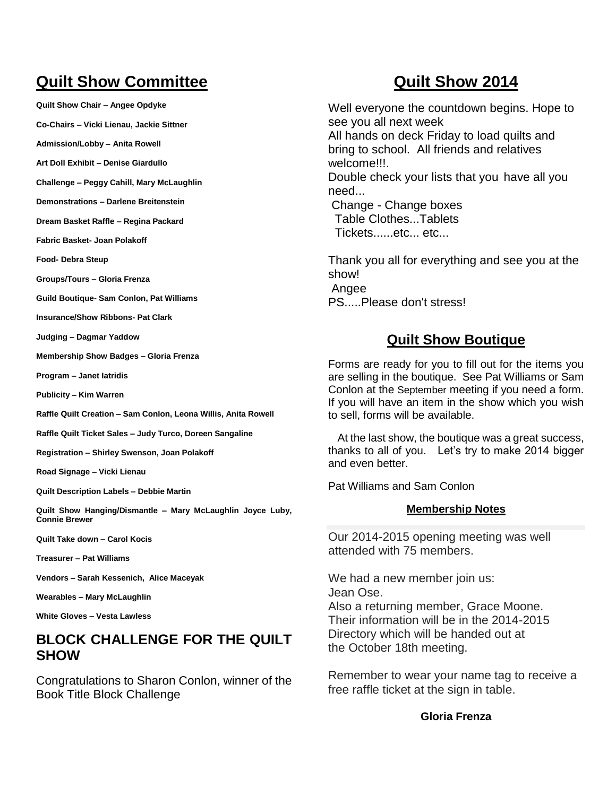## **Quilt Show Committee**

**Quilt Show Chair – Angee Opdyke**

**Co-Chairs – Vicki Lienau, Jackie Sittner**

**Admission/Lobby – Anita Rowell**

**Art Doll Exhibit – Denise Giardullo**

**Challenge – Peggy Cahill, Mary McLaughlin**

**Demonstrations – Darlene Breitenstein**

**Dream Basket Raffle – Regina Packard**

**Fabric Basket- Joan Polakoff**

**Food- Debra Steup**

**Groups/Tours – Gloria Frenza**

**Guild Boutique- Sam Conlon, Pat Williams**

**Insurance/Show Ribbons- Pat Clark**

**Judging – Dagmar Yaddow**

**Membership Show Badges – Gloria Frenza**

**Program – Janet Iatridis**

**Publicity – Kim Warren**

**Raffle Quilt Creation – Sam Conlon, Leona Willis, Anita Rowell**

**Raffle Quilt Ticket Sales – Judy Turco, Doreen Sangaline**

**Registration – Shirley Swenson, Joan Polakoff**

**Road Signage – Vicki Lienau**

**Quilt Description Labels – Debbie Martin**

**Quilt Show Hanging/Dismantle – Mary McLaughlin Joyce Luby, Connie Brewer**

**Quilt Take down – Carol Kocis**

**Treasurer – Pat Williams**

**Vendors – Sarah Kessenich, Alice Maceyak**

**Wearables – Mary McLaughlin**

**White Gloves – Vesta Lawless**

### **BLOCK CHALLENGE FOR THE QUILT SHOW**

Congratulations to Sharon Conlon, winner of the Book Title Block Challenge

### **Quilt Show 2014**

Well everyone the countdown begins. Hope to see you all next week

All hands on deck Friday to load quilts and bring to school. All friends and relatives welcome!!!.

Double check your lists that you have all you need...

Change - Change boxes Table Clothes...Tablets Tickets......etc... etc...

Thank you all for everything and see you at the show! Angee PS.....Please don't stress!

### **Quilt Show Boutique**

Forms are ready for you to fill out for the items you are selling in the boutique. See Pat Williams or Sam Conlon at the September meeting if you need a form. If you will have an item in the show which you wish to sell, forms will be available.

 At the last show, the boutique was a great success, thanks to all of you. Let's try to make 2014 bigger and even better.

Pat Williams and Sam Conlon

#### **Membership Notes**

Our 2014-2015 opening meeting was well attended with 75 members.

We had a new member join us: Jean Ose. Also a returning member, Grace Moone. Their information will be in the 2014-2015 Directory which will be handed out at the October 18th meeting.

Remember to wear your name tag to receive a free raffle ticket at the sign in table.

#### **Gloria Frenza**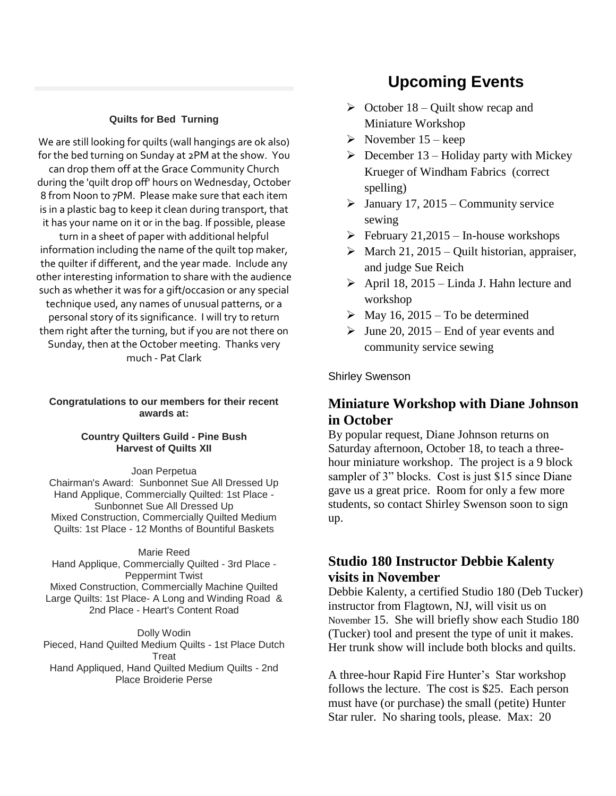#### **Quilts for Bed Turning**

We are still looking for quilts (wall hangings are ok also) for the bed turning on Sunday at 2PM at the show. You can drop them off at the Grace Community Church during the 'quilt drop off' hours on Wednesday, October 8 from Noon to 7PM. Please make sure that each item is in a plastic bag to keep it clean during transport, that it has your name on it or in the bag. If possible, please turn in a sheet of paper with additional helpful information including the name of the quilt top maker, the quilter if different, and the year made. Include any other interesting information to share with the audience such as whether it was for a gift/occasion or any special technique used, any names of unusual patterns, or a personal story of its significance. I will try to return them right after the turning, but if you are not there on Sunday, then at the October meeting. Thanks very much - Pat Clark

#### **Congratulations to our members for their recent awards at:**

#### **Country Quilters Guild - Pine Bush Harvest of Quilts XII**

Joan Perpetua

Chairman's Award: Sunbonnet Sue All Dressed Up Hand Applique, Commercially Quilted: 1st Place - Sunbonnet Sue All Dressed Up Mixed Construction, Commercially Quilted Medium Quilts: 1st Place - 12 Months of Bountiful Baskets

#### Marie Reed

Hand Applique, Commercially Quilted - 3rd Place - Peppermint Twist Mixed Construction, Commercially Machine Quilted Large Quilts: 1st Place- A Long and Winding Road & 2nd Place - Heart's Content Road

Dolly Wodin Pieced, Hand Quilted Medium Quilts - 1st Place Dutch Treat Hand Appliqued, Hand Quilted Medium Quilts - 2nd Place Broiderie Perse

### **Upcoming Events**

- $\triangleright$  October 18 Quilt show recap and Miniature Workshop
- $\triangleright$  November 15 keep
- $\triangleright$  December 13 Holiday party with Mickey Krueger of Windham Fabrics (correct spelling)
- $\geq$  January 17, 2015 Community service sewing
- $\triangleright$  February 21,2015 In-house workshops
- $\triangleright$  March 21, 2015 Quilt historian, appraiser, and judge Sue Reich
- $\triangleright$  April 18, 2015 Linda J. Hahn lecture and workshop
- $\triangleright$  May 16, 2015 To be determined
- $\blacktriangleright$  June 20, 2015 End of year events and community service sewing

#### Shirley Swenson

### **Miniature Workshop with Diane Johnson in October**

By popular request, Diane Johnson returns on Saturday afternoon, October 18, to teach a threehour miniature workshop. The project is a 9 block sampler of 3" blocks. Cost is just \$15 since Diane gave us a great price. Room for only a few more students, so contact Shirley Swenson soon to sign up.

### **Studio 180 Instructor Debbie Kalenty visits in November**

Debbie Kalenty, a certified Studio 180 (Deb Tucker) instructor from Flagtown, NJ, will visit us on November 15. She will briefly show each Studio 180 (Tucker) tool and present the type of unit it makes. Her trunk show will include both blocks and quilts.

A three-hour Rapid Fire Hunter's Star workshop follows the lecture. The cost is \$25. Each person must have (or purchase) the small (petite) Hunter Star ruler. No sharing tools, please. Max: 20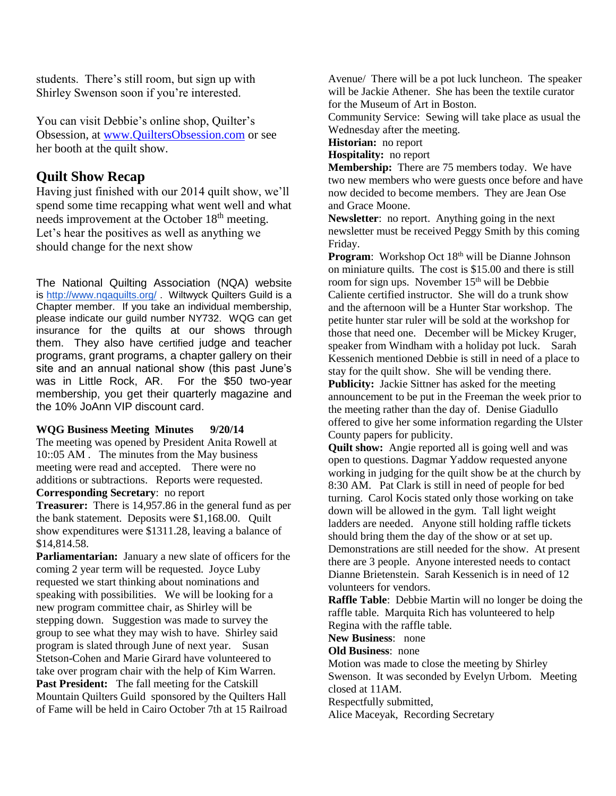students. There's still room, but sign up with Shirley Swenson soon if you're interested.

You can visit Debbie's online shop, Quilter's Obsession, at [www.QuiltersObsession.com](http://www.quiltersobsession.com/) or see her booth at the quilt show.

### **Quilt Show Recap**

Having just finished with our 2014 quilt show, we'll spend some time recapping what went well and what needs improvement at the October 18<sup>th</sup> meeting. Let's hear the positives as well as anything we should change for the next show

The National Quilting Association (NQA) website is <http://www.nqaquilts.org/> . Wiltwyck Quilters Guild is a Chapter member. If you take an individual membership, please indicate our guild number NY732. WQG can get insurance for the quilts at our shows through them. They also have certified judge and teacher programs, grant programs, a chapter gallery on their site and an annual national show (this past June's was in Little Rock, AR. For the \$50 two-year membership, you get their quarterly magazine and the 10% JoAnn VIP discount card.

#### **WQG Business Meeting Minutes 9/20/14**

The meeting was opened by President Anita Rowell at 10::05 AM . The minutes from the May business meeting were read and accepted. There were no additions or subtractions. Reports were requested. **Corresponding Secretary**: no report

**Treasurer:** There is 14,957.86 in the general fund as per the bank statement. Deposits were \$1,168.00. Quilt show expenditures were \$1311.28, leaving a balance of \$14,814.58.

**Parliamentarian:** January a new slate of officers for the coming 2 year term will be requested. Joyce Luby requested we start thinking about nominations and speaking with possibilities. We will be looking for a new program committee chair, as Shirley will be stepping down. Suggestion was made to survey the group to see what they may wish to have. Shirley said program is slated through June of next year. Susan Stetson-Cohen and Marie Girard have volunteered to take over program chair with the help of Kim Warren. **Past President:** The fall meeting for the Catskill Mountain Quilters Guild sponsored by the Quilters Hall of Fame will be held in Cairo October 7th at 15 Railroad

Avenue/ There will be a pot luck luncheon. The speaker will be Jackie Athener. She has been the textile curator for the Museum of Art in Boston.

Community Service: Sewing will take place as usual the Wednesday after the meeting.

**Historian:** no report

**Hospitality:** no report

**Membership:** There are 75 members today. We have two new members who were guests once before and have now decided to become members. They are Jean Ose and Grace Moone.

**Newsletter**: no report. Anything going in the next newsletter must be received Peggy Smith by this coming Friday.

**Program:** Workshop Oct 18<sup>th</sup> will be Dianne Johnson on miniature quilts. The cost is \$15.00 and there is still room for sign ups. November  $15<sup>th</sup>$  will be Debbie Caliente certified instructor. She will do a trunk show and the afternoon will be a Hunter Star workshop. The petite hunter star ruler will be sold at the workshop for those that need one. December will be Mickey Kruger, speaker from Windham with a holiday pot luck. Sarah Kessenich mentioned Debbie is still in need of a place to stay for the quilt show. She will be vending there. **Publicity:** Jackie Sittner has asked for the meeting announcement to be put in the Freeman the week prior to the meeting rather than the day of. Denise Giadullo offered to give her some information regarding the Ulster County papers for publicity.

**Quilt show:** Angie reported all is going well and was open to questions. Dagmar Yaddow requested anyone working in judging for the quilt show be at the church by 8:30 AM. Pat Clark is still in need of people for bed turning. Carol Kocis stated only those working on take down will be allowed in the gym. Tall light weight ladders are needed. Anyone still holding raffle tickets should bring them the day of the show or at set up. Demonstrations are still needed for the show. At present there are 3 people. Anyone interested needs to contact Dianne Brietenstein. Sarah Kessenich is in need of 12 volunteers for vendors.

**Raffle Table**: Debbie Martin will no longer be doing the raffle table. Marquita Rich has volunteered to help Regina with the raffle table.

**New Business**: none

**Old Business**: none

Motion was made to close the meeting by Shirley Swenson. It was seconded by Evelyn Urbom. Meeting closed at 11AM.

Respectfully submitted,

Alice Maceyak, Recording Secretary